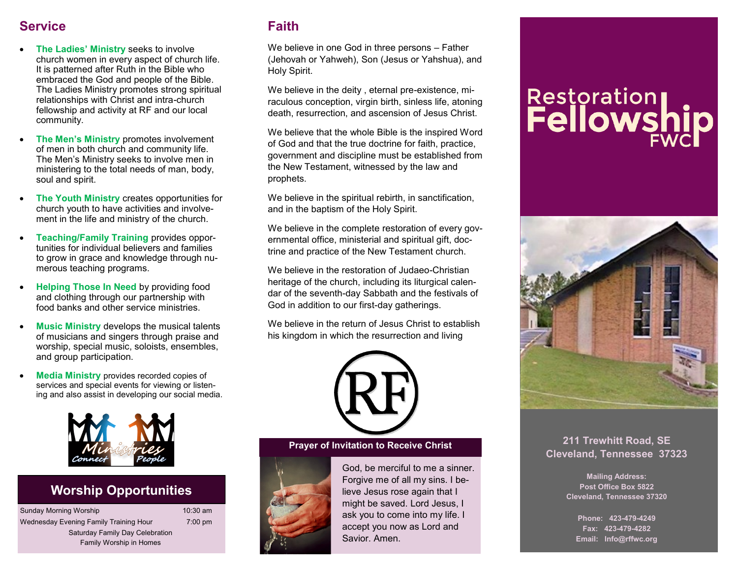## **Service**

- **The Ladies' Ministry** seeks to involve church women in every aspect of church life. It is patterned after Ruth in the Bible who embraced the God and people of the Bible. The Ladies Ministry promotes strong spiritual relationships with Christ and intra-church fellowship and activity at RF and our local community.
- **The Men's Ministry** promotes involvement of men in both church and community life. The Men's Ministry seeks to involve men in ministering to the total needs of man, body, soul and spirit.
- **The Youth Ministry** creates opportunities for church youth to have activities and involvement in the life and ministry of the church.
- **Teaching/Family Training** provides opportunities for individual believers and families to grow in grace and knowledge through numerous teaching programs.
- **Helping Those In Need** by providing food and clothing through our partnership with food banks and other service ministries.
- **Music Ministry develops the musical talents** of musicians and singers through praise and worship, special music, soloists, ensembles, and group participation.
- **Media Ministry** provides recorded copies of services and special events for viewing or listening and also assist in developing our social media.



## **Worship Opportunities**

| Sunday Morning Worship                 | 10:30 am          |
|----------------------------------------|-------------------|
| Wednesday Evening Family Training Hour | $7:00 \text{ pm}$ |
| Saturday Family Day Celebration        |                   |
| <b>Family Worship in Homes</b>         |                   |

## **Faith**

We believe in one God in three persons – Father (Jehovah or Yahweh), Son (Jesus or Yahshua), and Holy Spirit.

We believe in the deity , eternal pre-existence, miraculous conception, virgin birth, sinless life, atoning death, resurrection, and ascension of Jesus Christ.

We believe that the whole Bible is the inspired Word of God and that the true doctrine for faith, practice, government and discipline must be established from the New Testament, witnessed by the law and prophets.

We believe in the spiritual rebirth, in sanctification, and in the baptism of the Holy Spirit.

We believe in the complete restoration of every governmental office, ministerial and spiritual gift, doctrine and practice of the New Testament church.

We believe in the restoration of Judaeo-Christian heritage of the church, including its liturgical calendar of the seventh-day Sabbath and the festivals of God in addition to our first-day gatherings.

We believe in the return of Jesus Christ to establish his kingdom in which the resurrection and living





God, be merciful to me a sinner. Forgive me of all my sins. I believe Jesus rose again that I might be saved. Lord Jesus, I ask you to come into my life. I accept you now as Lord and Savior. Amen.

# **Restoration**<br>**Fellowship**



## **Prayer of Invitation to Receive Christ 211 Trewhitt Road, SE Cleveland, Tennessee 37323**

**Mailing Address: Post Office Box 5822 Cleveland, Tennessee 37320**

**Phone: 423-479-4249 Fax: 423-479-4282 Email: Info@rffwc.org**